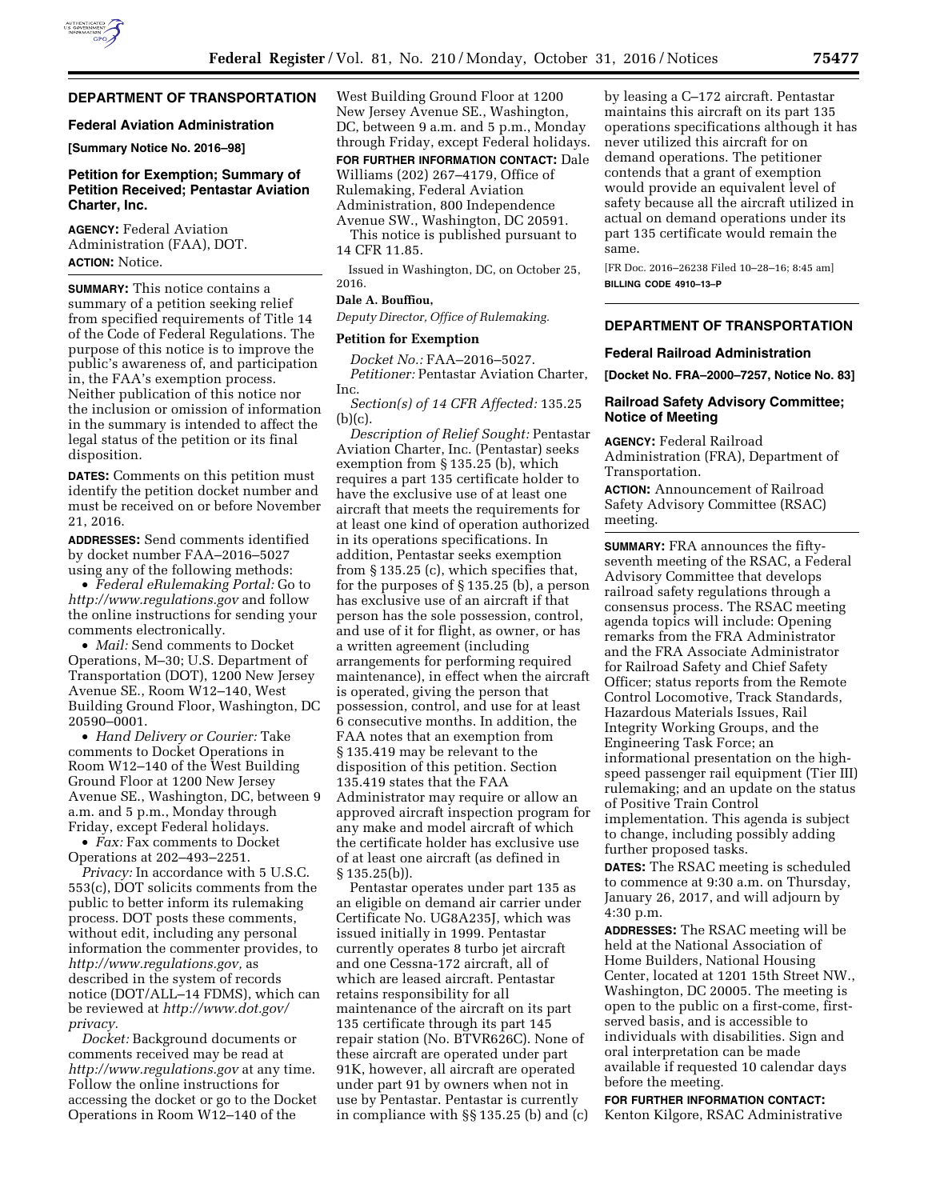# **DEPARTMENT OF TRANSPORTATION**

#### **Federal Aviation Administration**

**[Summary Notice No. 2016–98]** 

## **Petition for Exemption; Summary of Petition Received; Pentastar Aviation Charter, Inc.**

**AGENCY:** Federal Aviation Administration (FAA), DOT. **ACTION:** Notice.

**SUMMARY:** This notice contains a summary of a petition seeking relief from specified requirements of Title 14 of the Code of Federal Regulations. The purpose of this notice is to improve the public's awareness of, and participation in, the FAA's exemption process. Neither publication of this notice nor the inclusion or omission of information in the summary is intended to affect the legal status of the petition or its final disposition.

**DATES:** Comments on this petition must identify the petition docket number and must be received on or before November 21, 2016.

**ADDRESSES:** Send comments identified by docket number FAA–2016–5027 using any of the following methods:

• *Federal eRulemaking Portal:* Go to *<http://www.regulations.gov>* and follow the online instructions for sending your comments electronically.

• *Mail:* Send comments to Docket Operations, M–30; U.S. Department of Transportation (DOT), 1200 New Jersey Avenue SE., Room W12–140, West Building Ground Floor, Washington, DC 20590–0001.

• *Hand Delivery or Courier:* Take comments to Docket Operations in Room W12–140 of the West Building Ground Floor at 1200 New Jersey Avenue SE., Washington, DC, between 9 a.m. and 5 p.m., Monday through Friday, except Federal holidays.

• *Fax:* Fax comments to Docket Operations at 202–493–2251.

*Privacy:* In accordance with 5 U.S.C. 553(c), DOT solicits comments from the public to better inform its rulemaking process. DOT posts these comments, without edit, including any personal information the commenter provides, to *[http://www.regulations.gov,](http://www.regulations.gov)* as described in the system of records notice (DOT/ALL–14 FDMS), which can be reviewed at *[http://www.dot.gov/](http://www.dot.gov/privacy)  [privacy.](http://www.dot.gov/privacy)* 

*Docket:* Background documents or comments received may be read at *<http://www.regulations.gov>* at any time. Follow the online instructions for accessing the docket or go to the Docket Operations in Room W12–140 of the

West Building Ground Floor at 1200 New Jersey Avenue SE., Washington, DC, between 9 a.m. and 5 p.m., Monday through Friday, except Federal holidays.

**FOR FURTHER INFORMATION CONTACT:** Dale Williams (202) 267–4179, Office of Rulemaking, Federal Aviation Administration, 800 Independence Avenue SW., Washington, DC 20591.

This notice is published pursuant to 14 CFR 11.85.

Issued in Washington, DC, on October 25, 2016.

# **Dale A. Bouffiou,**

*Deputy Director, Office of Rulemaking.* 

## **Petition for Exemption**

*Docket No.:* FAA–2016–5027. *Petitioner:* Pentastar Aviation Charter, Inc.

*Section(s) of 14 CFR Affected:* 135.25  $(b)(c)$ .

*Description of Relief Sought:* Pentastar Aviation Charter, Inc. (Pentastar) seeks exemption from § 135.25 (b), which requires a part 135 certificate holder to have the exclusive use of at least one aircraft that meets the requirements for at least one kind of operation authorized in its operations specifications. In addition, Pentastar seeks exemption from § 135.25 (c), which specifies that, for the purposes of § 135.25 (b), a person has exclusive use of an aircraft if that person has the sole possession, control, and use of it for flight, as owner, or has a written agreement (including arrangements for performing required maintenance), in effect when the aircraft is operated, giving the person that possession, control, and use for at least 6 consecutive months. In addition, the FAA notes that an exemption from § 135.419 may be relevant to the disposition of this petition. Section 135.419 states that the FAA Administrator may require or allow an approved aircraft inspection program for any make and model aircraft of which the certificate holder has exclusive use of at least one aircraft (as defined in § 135.25(b)).

Pentastar operates under part 135 as an eligible on demand air carrier under Certificate No. UG8A235J, which was issued initially in 1999. Pentastar currently operates 8 turbo jet aircraft and one Cessna-172 aircraft, all of which are leased aircraft. Pentastar retains responsibility for all maintenance of the aircraft on its part 135 certificate through its part 145 repair station (No. BTVR626C). None of these aircraft are operated under part 91K, however, all aircraft are operated under part 91 by owners when not in use by Pentastar. Pentastar is currently in compliance with §§ 135.25 (b) and (c)

by leasing a C–172 aircraft. Pentastar maintains this aircraft on its part 135 operations specifications although it has never utilized this aircraft for on demand operations. The petitioner contends that a grant of exemption would provide an equivalent level of safety because all the aircraft utilized in actual on demand operations under its part 135 certificate would remain the same.

[FR Doc. 2016–26238 Filed 10–28–16; 8:45 am] **BILLING CODE 4910–13–P** 

# **DEPARTMENT OF TRANSPORTATION**

#### **Federal Railroad Administration**

**[Docket No. FRA–2000–7257, Notice No. 83]** 

## **Railroad Safety Advisory Committee; Notice of Meeting**

**AGENCY:** Federal Railroad Administration (FRA), Department of Transportation.

**ACTION:** Announcement of Railroad Safety Advisory Committee (RSAC) meeting.

**SUMMARY:** FRA announces the fiftyseventh meeting of the RSAC, a Federal Advisory Committee that develops railroad safety regulations through a consensus process. The RSAC meeting agenda topics will include: Opening remarks from the FRA Administrator and the FRA Associate Administrator for Railroad Safety and Chief Safety Officer; status reports from the Remote Control Locomotive, Track Standards, Hazardous Materials Issues, Rail Integrity Working Groups, and the Engineering Task Force; an informational presentation on the highspeed passenger rail equipment (Tier III) rulemaking; and an update on the status of Positive Train Control implementation. This agenda is subject to change, including possibly adding further proposed tasks.

**DATES:** The RSAC meeting is scheduled to commence at 9:30 a.m. on Thursday, January 26, 2017, and will adjourn by 4:30 p.m.

**ADDRESSES:** The RSAC meeting will be held at the National Association of Home Builders, National Housing Center, located at 1201 15th Street NW., Washington, DC 20005. The meeting is open to the public on a first-come, firstserved basis, and is accessible to individuals with disabilities. Sign and oral interpretation can be made available if requested 10 calendar days before the meeting.

#### **FOR FURTHER INFORMATION CONTACT:**

Kenton Kilgore, RSAC Administrative